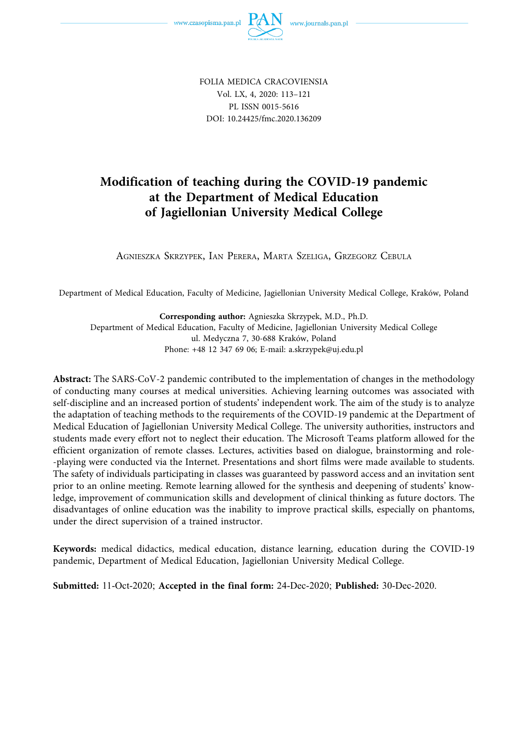

FOLIA MEDICA CRACOVIENSIA Vol. LX, 4, 2020: 113–121 PL ISSN 0015-5616 DOI: 10.24425/fmc.2020.136209

# **Modification of teaching during the COVID-19 pandemic at the Department of Medical Education of Jagiellonian University Medical College**

AGNIESZKA SKRZYPEK, IAN PERERA, MARTA SZELIGA, GRZEGORZ CEBULA

Department of Medical Education, Faculty of Medicine, Jagiellonian University Medical College, Kraków, Poland

**Corresponding author:** Agnieszka Skrzypek, M.D., Ph.D. Department of Medical Education, Faculty of Medicine, Jagiellonian University Medical College ul. Medyczna 7, 30-688 Kraków, Poland Phone: +48 12 347 69 06; E-mail: a.skrzypek@uj.edu.pl

**Abstract:** The SARS-CoV-2 pandemic contributed to the implementation of changes in the methodology of conducting many courses at medical universities. Achieving learning outcomes was associated with self-discipline and an increased portion of students' independent work. The aim of the study is to analyze the adaptation of teaching methods to the requirements of the COVID-19 pandemic at the Department of Medical Education of Jagiellonian University Medical College. The university authorities, instructors and students made every effort not to neglect their education. The Microsoft Teams platform allowed for the efficient organization of remote classes. Lectures, activities based on dialogue, brainstorming and role- -playing were conducted via the Internet. Presentations and short films were made available to students. The safety of individuals participating in classes was guaranteed by password access and an invitation sent prior to an online meeting. Remote learning allowed for the synthesis and deepening of students' knowledge, improvement of communication skills and development of clinical thinking as future doctors. The disadvantages of online education was the inability to improve practical skills, especially on phantoms, under the direct supervision of a trained instructor.

**Keywords:** medical didactics, medical education, distance learning, education during the COVID-19 pandemic, Department of Medical Education, Jagiellonian University Medical College.

**Submitted:** 11‑Oct‑2020; **Accepted in the final form:** 24‑Dec‑2020; **Published:** 30‑Dec‑2020.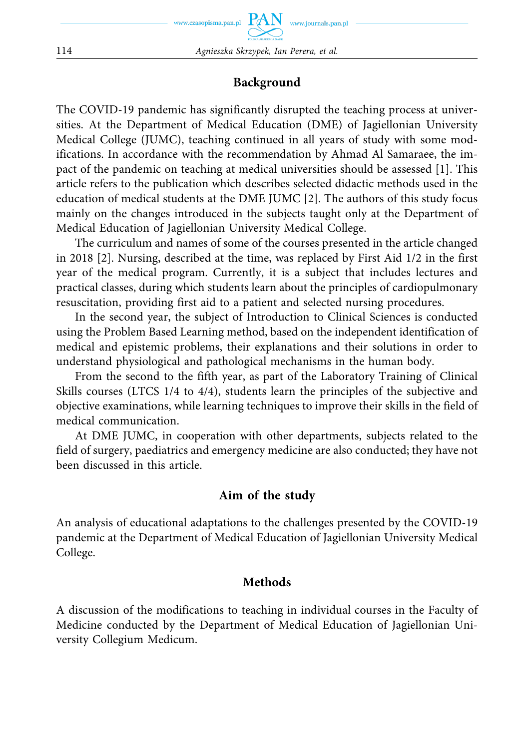### **Background**

The COVID-19 pandemic has significantly disrupted the teaching process at universities. At the Department of Medical Education (DME) of Jagiellonian University Medical College (JUMC), teaching continued in all years of study with some modifications. In accordance with the recommendation by Ahmad Al Samaraee, the impact of the pandemic on teaching at medical universities should be assessed [1]. This article refers to the publication which describes selected didactic methods used in the education of medical students at the DME JUMC [2]. The authors of this study focus mainly on the changes introduced in the subjects taught only at the Department of Medical Education of Jagiellonian University Medical College.

The curriculum and names of some of the courses presented in the article changed in 2018 [2]. Nursing, described at the time, was replaced by First Aid 1/2 in the first year of the medical program. Currently, it is a subject that includes lectures and practical classes, during which students learn about the principles of cardiopulmonary resuscitation, providing first aid to a patient and selected nursing procedures.

In the second year, the subject of Introduction to Clinical Sciences is conducted using the Problem Based Learning method, based on the independent identification of medical and epistemic problems, their explanations and their solutions in order to understand physiological and pathological mechanisms in the human body.

From the second to the fifth year, as part of the Laboratory Training of Clinical Skills courses (LTCS 1/4 to 4/4), students learn the principles of the subjective and objective examinations, while learning techniques to improve their skills in the field of medical communication.

At DME JUMC, in cooperation with other departments, subjects related to the field of surgery, paediatrics and emergency medicine are also conducted; they have not been discussed in this article.

#### **Aim of the study**

An analysis of educational adaptations to the challenges presented by the COVID-19 pandemic at the Department of Medical Education of Jagiellonian University Medical College.

### **Methods**

A discussion of the modifications to teaching in individual courses in the Faculty of Medicine conducted by the Department of Medical Education of Jagiellonian University Collegium Medicum.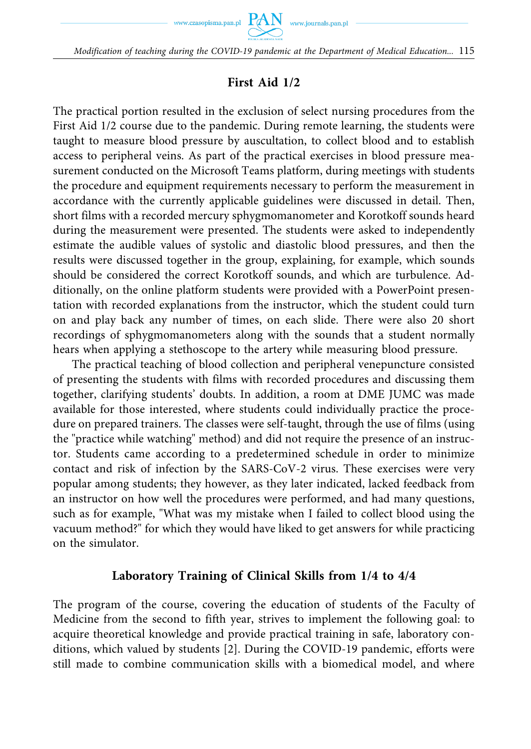# **First Aid 1/2**

The practical portion resulted in the exclusion of select nursing procedures from the First Aid 1/2 course due to the pandemic. During remote learning, the students were taught to measure blood pressure by auscultation, to collect blood and to establish access to peripheral veins. As part of the practical exercises in blood pressure measurement conducted on the Microsoft Teams platform, during meetings with students the procedure and equipment requirements necessary to perform the measurement in accordance with the currently applicable guidelines were discussed in detail. Then, short films with a recorded mercury sphygmomanometer and Korotkoff sounds heard during the measurement were presented. The students were asked to independently estimate the audible values of systolic and diastolic blood pressures, and then the results were discussed together in the group, explaining, for example, which sounds should be considered the correct Korotkoff sounds, and which are turbulence. Additionally, on the online platform students were provided with a PowerPoint presentation with recorded explanations from the instructor, which the student could turn on and play back any number of times, on each slide. There were also 20 short recordings of sphygmomanometers along with the sounds that a student normally hears when applying a stethoscope to the artery while measuring blood pressure.

The practical teaching of blood collection and peripheral venepuncture consisted of presenting the students with films with recorded procedures and discussing them together, clarifying students' doubts. In addition, a room at DME JUMC was made available for those interested, where students could individually practice the procedure on prepared trainers. The classes were self-taught, through the use of films (using the "practice while watching" method) and did not require the presence of an instructor. Students came according to a predetermined schedule in order to minimize contact and risk of infection by the SARS-CoV-2 virus. These exercises were very popular among students; they however, as they later indicated, lacked feedback from an instructor on how well the procedures were performed, and had many questions, such as for example, "What was my mistake when I failed to collect blood using the vacuum method?" for which they would have liked to get answers for while practicing on the simulator.

#### **Laboratory Training of Clinical Skills from 1/4 to 4/4**

The program of the course, covering the education of students of the Faculty of Medicine from the second to fifth year, strives to implement the following goal: to acquire theoretical knowledge and provide practical training in safe, laboratory conditions, which valued by students [2]. During the COVID-19 pandemic, efforts were still made to combine communication skills with a biomedical model, and where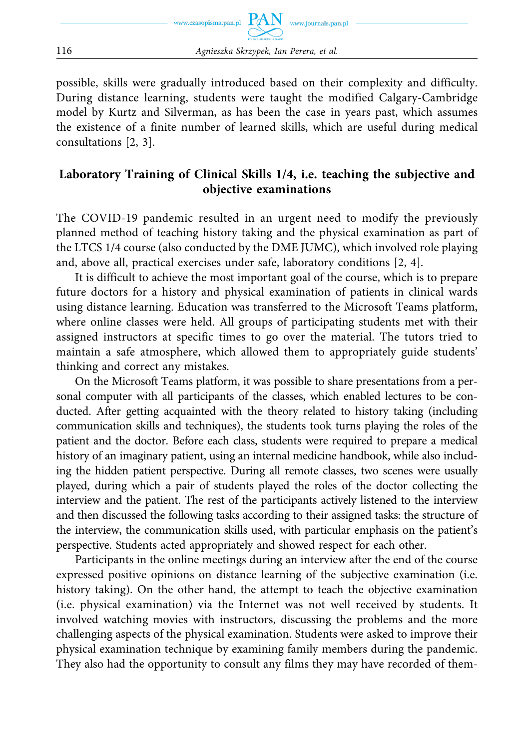

possible, skills were gradually introduced based on their complexity and difficulty. During distance learning, students were taught the modified Calgary-Cambridge model by Kurtz and Silverman, as has been the case in years past, which assumes the existence of a finite number of learned skills, which are useful during medical consultations [2, 3].

# **Laboratory Training of Clinical Skills 1/4, i.e. teaching the subjective and objective examinations**

The COVID-19 pandemic resulted in an urgent need to modify the previously planned method of teaching history taking and the physical examination as part of the LTCS 1/4 course (also conducted by the DME JUMC), which involved role playing and, above all, practical exercises under safe, laboratory conditions [2, 4].

It is difficult to achieve the most important goal of the course, which is to prepare future doctors for a history and physical examination of patients in clinical wards using distance learning. Education was transferred to the Microsoft Teams platform, where online classes were held. All groups of participating students met with their assigned instructors at specific times to go over the material. The tutors tried to maintain a safe atmosphere, which allowed them to appropriately guide students' thinking and correct any mistakes.

On the Microsoft Teams platform, it was possible to share presentations from a personal computer with all participants of the classes, which enabled lectures to be conducted. After getting acquainted with the theory related to history taking (including communication skills and techniques), the students took turns playing the roles of the patient and the doctor. Before each class, students were required to prepare a medical history of an imaginary patient, using an internal medicine handbook, while also including the hidden patient perspective. During all remote classes, two scenes were usually played, during which a pair of students played the roles of the doctor collecting the interview and the patient. The rest of the participants actively listened to the interview and then discussed the following tasks according to their assigned tasks: the structure of the interview, the communication skills used, with particular emphasis on the patient's perspective. Students acted appropriately and showed respect for each other.

Participants in the online meetings during an interview after the end of the course expressed positive opinions on distance learning of the subjective examination (i.e. history taking). On the other hand, the attempt to teach the objective examination (i.e. physical examination) via the Internet was not well received by students. It involved watching movies with instructors, discussing the problems and the more challenging aspects of the physical examination. Students were asked to improve their physical examination technique by examining family members during the pandemic. They also had the opportunity to consult any films they may have recorded of them-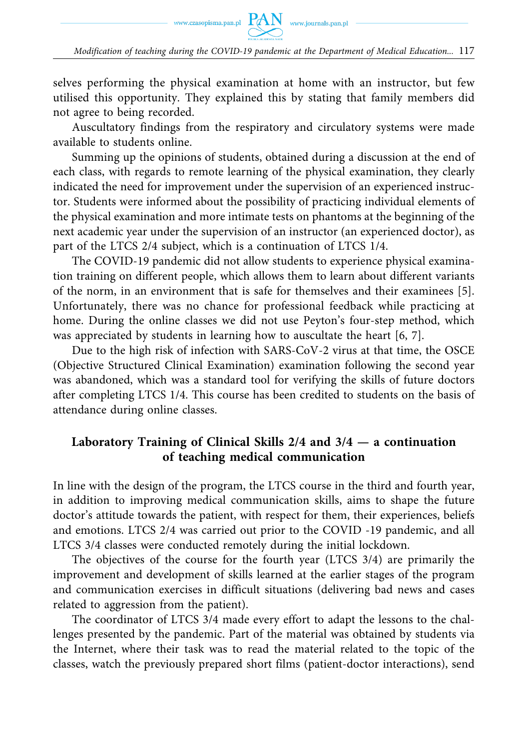selves performing the physical examination at home with an instructor, but few utilised this opportunity. They explained this by stating that family members did not agree to being recorded.

Auscultatory findings from the respiratory and circulatory systems were made available to students online.

Summing up the opinions of students, obtained during a discussion at the end of each class, with regards to remote learning of the physical examination, they clearly indicated the need for improvement under the supervision of an experienced instructor. Students were informed about the possibility of practicing individual elements of the physical examination and more intimate tests on phantoms at the beginning of the next academic year under the supervision of an instructor (an experienced doctor), as part of the LTCS 2/4 subject, which is a continuation of LTCS 1/4.

The COVID-19 pandemic did not allow students to experience physical examination training on different people, which allows them to learn about different variants of the norm, in an environment that is safe for themselves and their examinees [5]. Unfortunately, there was no chance for professional feedback while practicing at home. During the online classes we did not use Peyton's four-step method, which was appreciated by students in learning how to auscultate the heart [6, 7].

Due to the high risk of infection with SARS-CoV-2 virus at that time, the OSCE (Objective Structured Clinical Examination) examination following the second year was abandoned, which was a standard tool for verifying the skills of future doctors after completing LTCS 1/4. This course has been credited to students on the basis of attendance during online classes.

# **Laboratory Training of Clinical Skills 2/4 and 3/4 — a continuation of teaching medical communication**

In line with the design of the program, the LTCS course in the third and fourth year, in addition to improving medical communication skills, aims to shape the future doctor's attitude towards the patient, with respect for them, their experiences, beliefs and emotions. LTCS 2/4 was carried out prior to the COVID -19 pandemic, and all LTCS 3/4 classes were conducted remotely during the initial lockdown.

The objectives of the course for the fourth year (LTCS 3/4) are primarily the improvement and development of skills learned at the earlier stages of the program and communication exercises in difficult situations (delivering bad news and cases related to aggression from the patient).

The coordinator of LTCS 3/4 made every effort to adapt the lessons to the challenges presented by the pandemic. Part of the material was obtained by students via the Internet, where their task was to read the material related to the topic of the classes, watch the previously prepared short films (patient-doctor interactions), send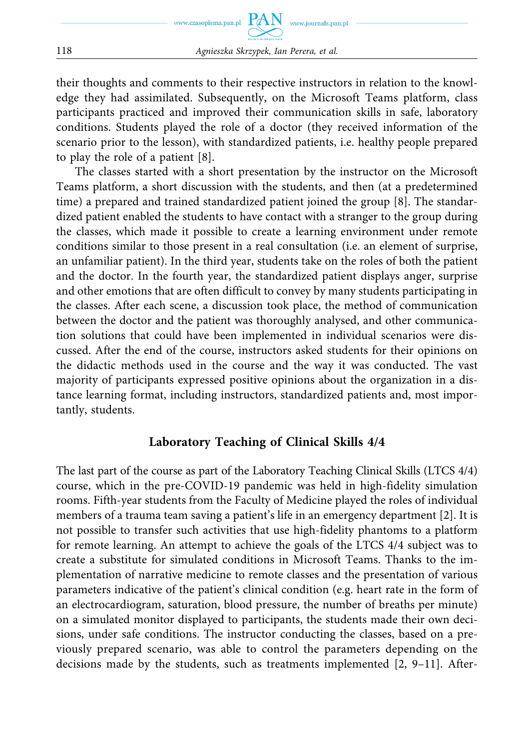

their thoughts and comments to their respective instructors in relation to the knowledge they had assimilated. Subsequently, on the Microsoft Teams platform, class participants practiced and improved their communication skills in safe, laboratory conditions. Students played the role of a doctor (they received information of the scenario prior to the lesson), with standardized patients, i.e. healthy people prepared to play the role of a patient [8].

The classes started with a short presentation by the instructor on the Microsoft Teams platform, a short discussion with the students, and then (at a predetermined time) a prepared and trained standardized patient joined the group [8]. The standardized patient enabled the students to have contact with a stranger to the group during the classes, which made it possible to create a learning environment under remote conditions similar to those present in a real consultation (i.e. an element of surprise, an unfamiliar patient). In the third year, students take on the roles of both the patient and the doctor. In the fourth year, the standardized patient displays anger, surprise and other emotions that are often difficult to convey by many students participating in the classes. After each scene, a discussion took place, the method of communication between the doctor and the patient was thoroughly analysed, and other communication solutions that could have been implemented in individual scenarios were discussed. After the end of the course, instructors asked students for their opinions on the didactic methods used in the course and the way it was conducted. The vast majority of participants expressed positive opinions about the organization in a distance learning format, including instructors, standardized patients and, most importantly, students.

### **Laboratory Teaching of Clinical Skills 4/4**

The last part of the course as part of the Laboratory Teaching Clinical Skills (LTCS 4/4) course, which in the pre-COVID-19 pandemic was held in high-fidelity simulation rooms. Fifth-year students from the Faculty of Medicine played the roles of individual members of a trauma team saving a patient's life in an emergency department [2]. It is not possible to transfer such activities that use high-fidelity phantoms to a platform for remote learning. An attempt to achieve the goals of the LTCS 4/4 subject was to create a substitute for simulated conditions in Microsoft Teams. Thanks to the implementation of narrative medicine to remote classes and the presentation of various parameters indicative of the patient's clinical condition (e.g. heart rate in the form of an electrocardiogram, saturation, blood pressure, the number of breaths per minute) on a simulated monitor displayed to participants, the students made their own decisions, under safe conditions. The instructor conducting the classes, based on a previously prepared scenario, was able to control the parameters depending on the decisions made by the students, such as treatments implemented [2, 9–11]. After-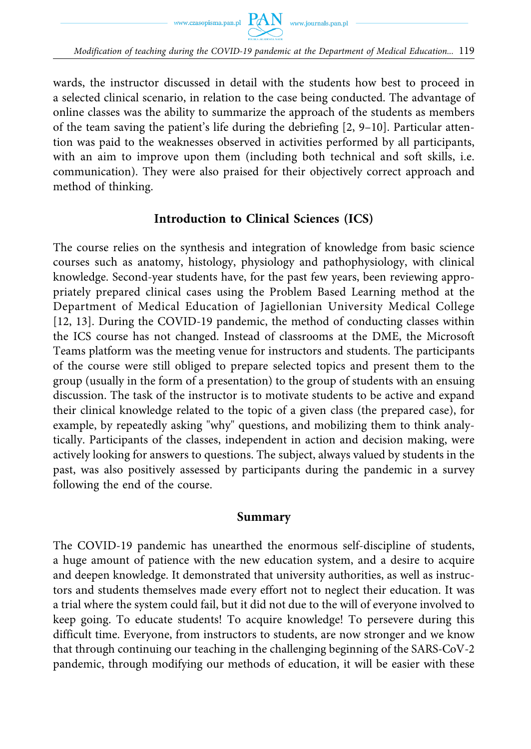

wards, the instructor discussed in detail with the students how best to proceed in a selected clinical scenario, in relation to the case being conducted. The advantage of online classes was the ability to summarize the approach of the students as members of the team saving the patient's life during the debriefing  $[2, 9-10]$ . Particular attention was paid to the weaknesses observed in activities performed by all participants, with an aim to improve upon them (including both technical and soft skills, i.e. communication). They were also praised for their objectively correct approach and method of thinking.

### **Introduction to Clinical Sciences (ICS)**

The course relies on the synthesis and integration of knowledge from basic science courses such as anatomy, histology, physiology and pathophysiology, with clinical knowledge. Second-year students have, for the past few years, been reviewing appropriately prepared clinical cases using the Problem Based Learning method at the Department of Medical Education of Jagiellonian University Medical College [12, 13]. During the COVID-19 pandemic, the method of conducting classes within the ICS course has not changed. Instead of classrooms at the DME, the Microsoft Teams platform was the meeting venue for instructors and students. The participants of the course were still obliged to prepare selected topics and present them to the group (usually in the form of a presentation) to the group of students with an ensuing discussion. The task of the instructor is to motivate students to be active and expand their clinical knowledge related to the topic of a given class (the prepared case), for example, by repeatedly asking "why" questions, and mobilizing them to think analytically. Participants of the classes, independent in action and decision making, were actively looking for answers to questions. The subject, always valued by students in the past, was also positively assessed by participants during the pandemic in a survey following the end of the course.

#### **Summary**

The COVID-19 pandemic has unearthed the enormous self-discipline of students, a huge amount of patience with the new education system, and a desire to acquire and deepen knowledge. It demonstrated that university authorities, as well as instructors and students themselves made every effort not to neglect their education. It was a trial where the system could fail, but it did not due to the will of everyone involved to keep going. To educate students! To acquire knowledge! To persevere during this difficult time. Everyone, from instructors to students, are now stronger and we know that through continuing our teaching in the challenging beginning of the SARS-CoV-2 pandemic, through modifying our methods of education, it will be easier with these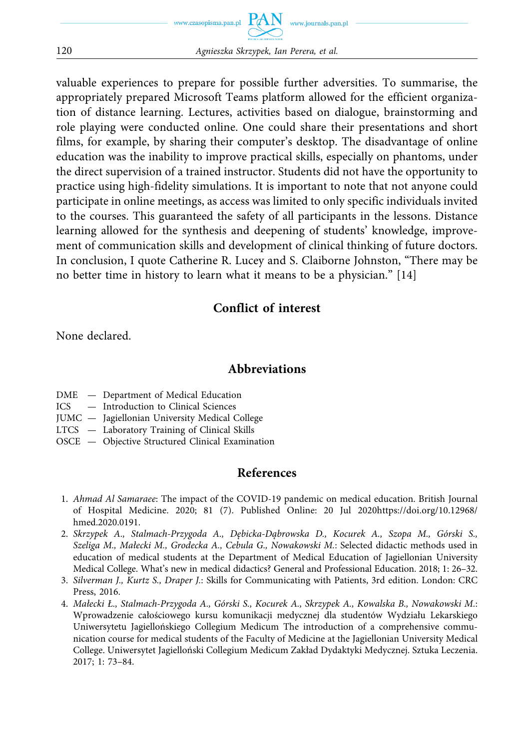

valuable experiences to prepare for possible further adversities. To summarise, the appropriately prepared Microsoft Teams platform allowed for the efficient organization of distance learning. Lectures, activities based on dialogue, brainstorming and role playing were conducted online. One could share their presentations and short films, for example, by sharing their computer's desktop. The disadvantage of online education was the inability to improve practical skills, especially on phantoms, under the direct supervision of a trained instructor. Students did not have the opportunity to practice using high-fidelity simulations. It is important to note that not anyone could participate in online meetings, as access was limited to only specific individuals invited to the courses. This guaranteed the safety of all participants in the lessons. Distance learning allowed for the synthesis and deepening of students' knowledge, improvement of communication skills and development of clinical thinking of future doctors. In conclusion, I quote Catherine R. Lucey and S. Claiborne Johnston, "There may be no better time in history to learn what it means to be a physician." [14]

# **Conflict of interest**

None declared.

### **Abbreviations**

- DME Department of Medical Education
- ICS Introduction to Clinical Sciences
- JUMC Jagiellonian University Medical College
- LTCS Laboratory Training of Clinical Skills
- OSCE Objective Structured Clinical Examination

#### **References**

- 1. *Ahmad Al Samaraee*: The impact of the COVID-19 pandemic on medical education. British Journal of Hospital Medicine. 2020; 81 (7). Published Online: 20 Jul 2020https://doi.org/10.12968/ hmed.2020.0191.
- 2. *Skrzypek A., Stalmach-Przygoda A., Dębicka-Dąbrowska D., Kocurek A., Szopa M., Górski S., Szeliga M., Małecki M., Grodecka A., Cebula G., Nowakowski M.*: Selected didactic methods used in education of medical students at the Department of Medical Education of Jagiellonian University Medical College. What's new in medical didactics? General and Professional Education. 2018; 1: 26–32.
- 3. *Silverman J., Kurtz S., Draper J.*: Skills for Communicating with Patients, 3rd edition. London: CRC Press, 2016.
- 4. *Małecki Ł., Stalmach-Przygoda A., Górski S., Kocurek A., Skrzypek A., Kowalska B., Nowakowski M.*: Wprowadzenie całościowego kursu komunikacji medycznej dla studentów Wydziału Lekarskiego Uniwersytetu Jagiellońskiego Collegium Medicum The introduction of a comprehensive communication course for medical students of the Faculty of Medicine at the Jagiellonian University Medical College. Uniwersytet Jagielloński Collegium Medicum Zakład Dydaktyki Medycznej. Sztuka Leczenia. 2017; 1: 73–84.